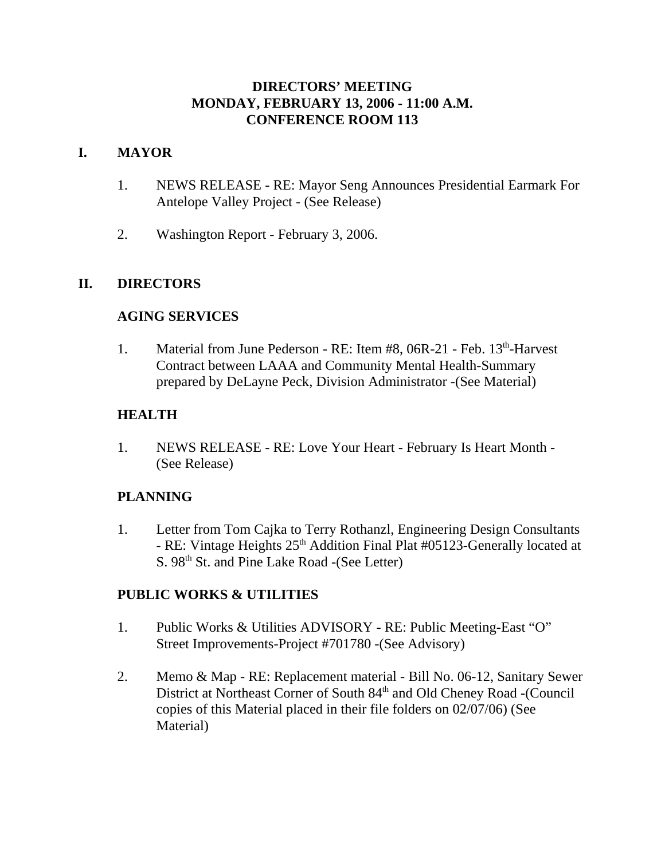### **DIRECTORS' MEETING MONDAY, FEBRUARY 13, 2006 - 11:00 A.M. CONFERENCE ROOM 113**

## **I. MAYOR**

- 1. NEWS RELEASE RE: Mayor Seng Announces Presidential Earmark For Antelope Valley Project - (See Release)
- 2. Washington Report February 3, 2006.

## **II. DIRECTORS**

### **AGING SERVICES**

1. Material from June Pederson - RE: Item #8, 06R-21 - Feb. 13<sup>th</sup>-Harvest Contract between LAAA and Community Mental Health-Summary prepared by DeLayne Peck, Division Administrator -(See Material)

## **HEALTH**

1. NEWS RELEASE - RE: Love Your Heart - February Is Heart Month - (See Release)

# **PLANNING**

1. Letter from Tom Cajka to Terry Rothanzl, Engineering Design Consultants - RE: Vintage Heights 25<sup>th</sup> Addition Final Plat #05123-Generally located at S. 98<sup>th</sup> St. and Pine Lake Road -(See Letter)

### **PUBLIC WORKS & UTILITIES**

- 1. Public Works & Utilities ADVISORY RE: Public Meeting-East "O" Street Improvements-Project #701780 -(See Advisory)
- 2. Memo & Map RE: Replacement material Bill No. 06-12, Sanitary Sewer District at Northeast Corner of South 84<sup>th</sup> and Old Cheney Road -(Council copies of this Material placed in their file folders on 02/07/06) (See Material)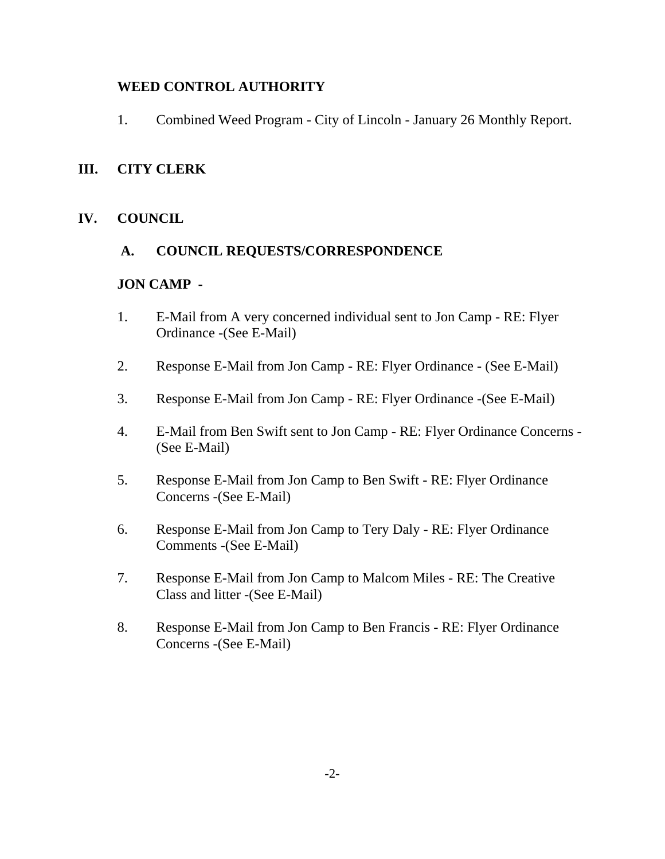### **WEED CONTROL AUTHORITY**

1. Combined Weed Program - City of Lincoln - January 26 Monthly Report.

### **III. CITY CLERK**

### **IV. COUNCIL**

### **A. COUNCIL REQUESTS/CORRESPONDENCE**

### **JON CAMP -**

- 1. E-Mail from A very concerned individual sent to Jon Camp RE: Flyer Ordinance -(See E-Mail)
- 2. Response E-Mail from Jon Camp RE: Flyer Ordinance (See E-Mail)
- 3. Response E-Mail from Jon Camp RE: Flyer Ordinance -(See E-Mail)
- 4. E-Mail from Ben Swift sent to Jon Camp RE: Flyer Ordinance Concerns (See E-Mail)
- 5. Response E-Mail from Jon Camp to Ben Swift RE: Flyer Ordinance Concerns -(See E-Mail)
- 6. Response E-Mail from Jon Camp to Tery Daly RE: Flyer Ordinance Comments -(See E-Mail)
- 7. Response E-Mail from Jon Camp to Malcom Miles RE: The Creative Class and litter -(See E-Mail)
- 8. Response E-Mail from Jon Camp to Ben Francis RE: Flyer Ordinance Concerns -(See E-Mail)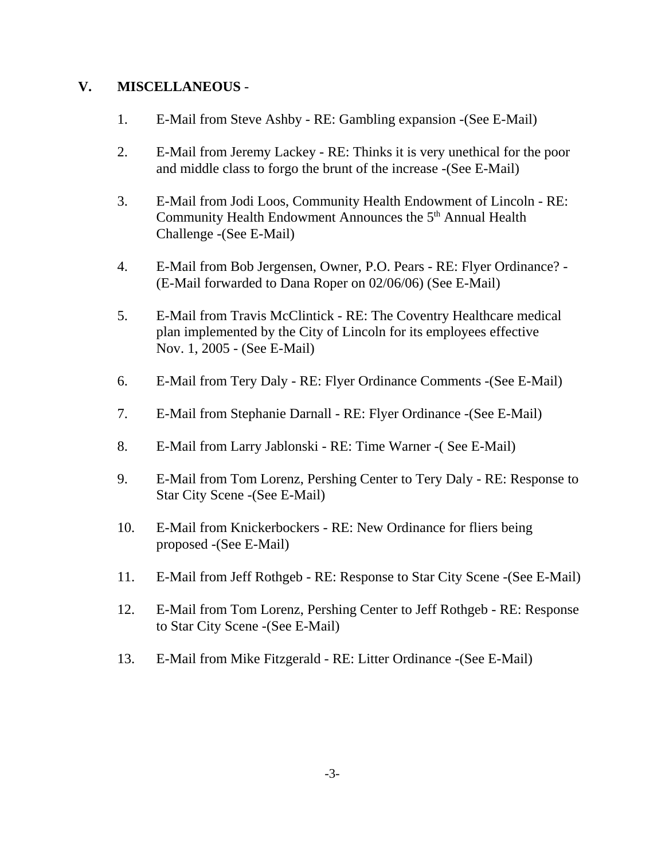### **V. MISCELLANEOUS** -

- 1. E-Mail from Steve Ashby RE: Gambling expansion -(See E-Mail)
- 2. E-Mail from Jeremy Lackey RE: Thinks it is very unethical for the poor and middle class to forgo the brunt of the increase -(See E-Mail)
- 3. E-Mail from Jodi Loos, Community Health Endowment of Lincoln RE: Community Health Endowment Announces the 5<sup>th</sup> Annual Health Challenge -(See E-Mail)
- 4. E-Mail from Bob Jergensen, Owner, P.O. Pears RE: Flyer Ordinance? (E-Mail forwarded to Dana Roper on 02/06/06) (See E-Mail)
- 5. E-Mail from Travis McClintick RE: The Coventry Healthcare medical plan implemented by the City of Lincoln for its employees effective Nov. 1, 2005 - (See E-Mail)
- 6. E-Mail from Tery Daly RE: Flyer Ordinance Comments -(See E-Mail)
- 7. E-Mail from Stephanie Darnall RE: Flyer Ordinance -(See E-Mail)
- 8. E-Mail from Larry Jablonski RE: Time Warner -( See E-Mail)
- 9. E-Mail from Tom Lorenz, Pershing Center to Tery Daly RE: Response to Star City Scene -(See E-Mail)
- 10. E-Mail from Knickerbockers RE: New Ordinance for fliers being proposed -(See E-Mail)
- 11. E-Mail from Jeff Rothgeb RE: Response to Star City Scene -(See E-Mail)
- 12. E-Mail from Tom Lorenz, Pershing Center to Jeff Rothgeb RE: Response to Star City Scene -(See E-Mail)
- 13. E-Mail from Mike Fitzgerald RE: Litter Ordinance -(See E-Mail)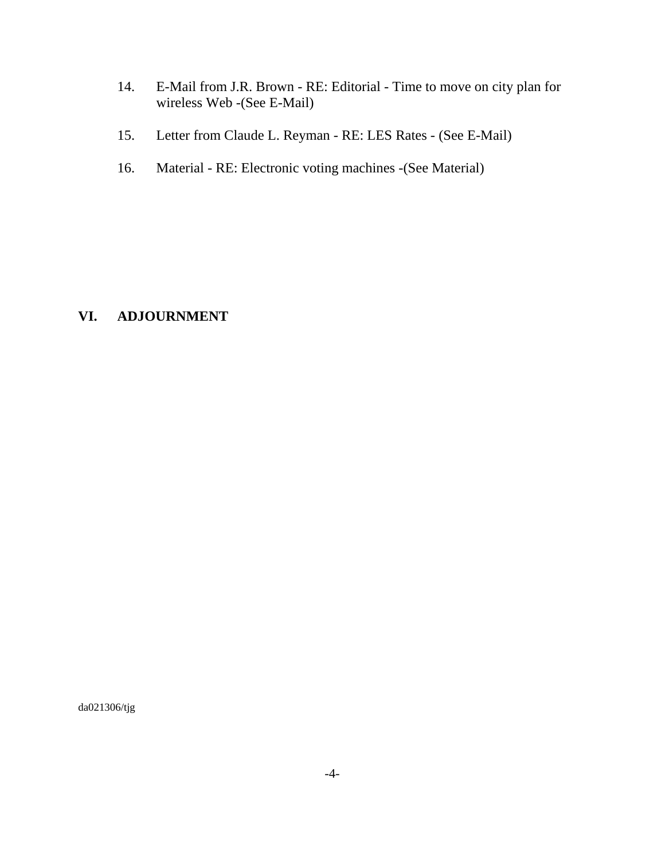- 14. E-Mail from J.R. Brown RE: Editorial Time to move on city plan for wireless Web -(See E-Mail)
- 15. Letter from Claude L. Reyman RE: LES Rates (See E-Mail)
- 16. Material RE: Electronic voting machines -(See Material)

### **VI. ADJOURNMENT**

da021306/tjg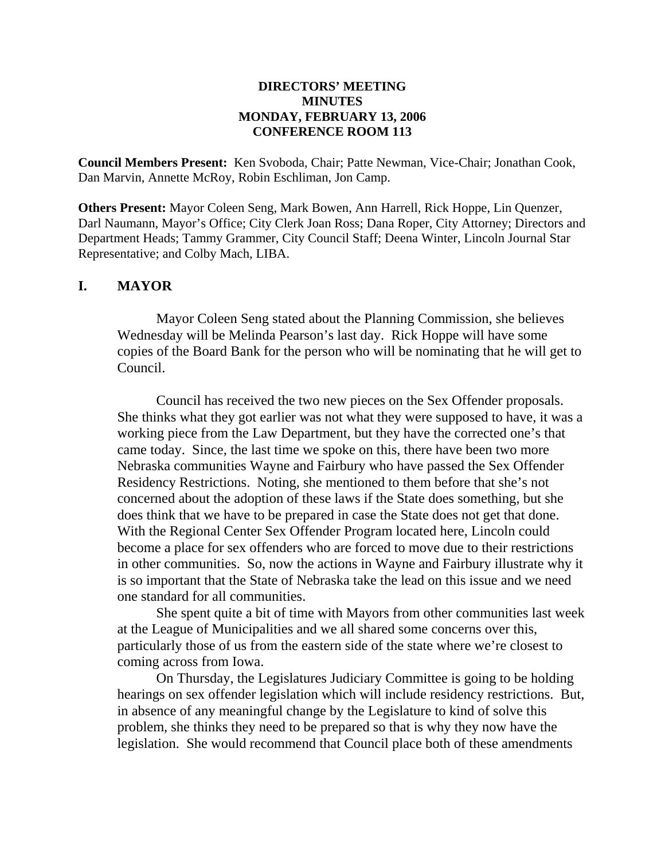#### **DIRECTORS' MEETING MINUTES MONDAY, FEBRUARY 13, 2006 CONFERENCE ROOM 113**

**Council Members Present:** Ken Svoboda, Chair; Patte Newman, Vice-Chair; Jonathan Cook, Dan Marvin, Annette McRoy, Robin Eschliman, Jon Camp.

**Others Present:** Mayor Coleen Seng, Mark Bowen, Ann Harrell, Rick Hoppe, Lin Quenzer, Darl Naumann, Mayor's Office; City Clerk Joan Ross; Dana Roper, City Attorney; Directors and Department Heads; Tammy Grammer, City Council Staff; Deena Winter, Lincoln Journal Star Representative; and Colby Mach, LIBA.

### **I. MAYOR**

Mayor Coleen Seng stated about the Planning Commission, she believes Wednesday will be Melinda Pearson's last day. Rick Hoppe will have some copies of the Board Bank for the person who will be nominating that he will get to Council.

Council has received the two new pieces on the Sex Offender proposals. She thinks what they got earlier was not what they were supposed to have, it was a working piece from the Law Department, but they have the corrected one's that came today. Since, the last time we spoke on this, there have been two more Nebraska communities Wayne and Fairbury who have passed the Sex Offender Residency Restrictions. Noting, she mentioned to them before that she's not concerned about the adoption of these laws if the State does something, but she does think that we have to be prepared in case the State does not get that done. With the Regional Center Sex Offender Program located here, Lincoln could become a place for sex offenders who are forced to move due to their restrictions in other communities. So, now the actions in Wayne and Fairbury illustrate why it is so important that the State of Nebraska take the lead on this issue and we need one standard for all communities.

She spent quite a bit of time with Mayors from other communities last week at the League of Municipalities and we all shared some concerns over this, particularly those of us from the eastern side of the state where we're closest to coming across from Iowa.

On Thursday, the Legislatures Judiciary Committee is going to be holding hearings on sex offender legislation which will include residency restrictions. But, in absence of any meaningful change by the Legislature to kind of solve this problem, she thinks they need to be prepared so that is why they now have the legislation. She would recommend that Council place both of these amendments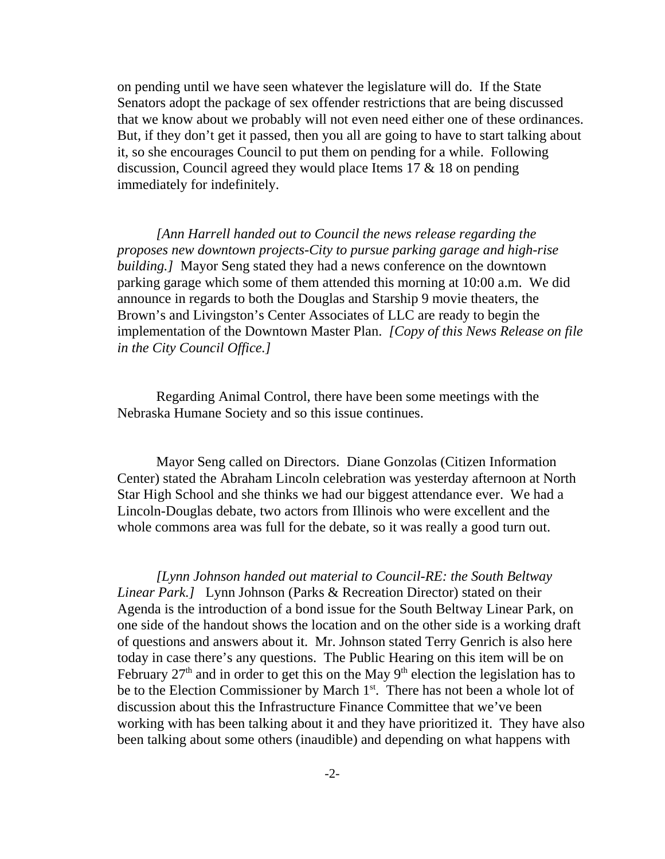on pending until we have seen whatever the legislature will do. If the State Senators adopt the package of sex offender restrictions that are being discussed that we know about we probably will not even need either one of these ordinances. But, if they don't get it passed, then you all are going to have to start talking about it, so she encourages Council to put them on pending for a while. Following discussion, Council agreed they would place Items 17 & 18 on pending immediately for indefinitely.

*[Ann Harrell handed out to Council the news release regarding the proposes new downtown projects-City to pursue parking garage and high-rise building.]* Mayor Seng stated they had a news conference on the downtown parking garage which some of them attended this morning at 10:00 a.m. We did announce in regards to both the Douglas and Starship 9 movie theaters, the Brown's and Livingston's Center Associates of LLC are ready to begin the implementation of the Downtown Master Plan. *[Copy of this News Release on file in the City Council Office.]* 

Regarding Animal Control, there have been some meetings with the Nebraska Humane Society and so this issue continues.

Mayor Seng called on Directors. Diane Gonzolas (Citizen Information Center) stated the Abraham Lincoln celebration was yesterday afternoon at North Star High School and she thinks we had our biggest attendance ever. We had a Lincoln-Douglas debate, two actors from Illinois who were excellent and the whole commons area was full for the debate, so it was really a good turn out.

*[Lynn Johnson handed out material to Council-RE: the South Beltway Linear Park.]* Lynn Johnson (Parks & Recreation Director) stated on their Agenda is the introduction of a bond issue for the South Beltway Linear Park, on one side of the handout shows the location and on the other side is a working draft of questions and answers about it. Mr. Johnson stated Terry Genrich is also here today in case there's any questions. The Public Hearing on this item will be on February  $27<sup>th</sup>$  and in order to get this on the May  $9<sup>th</sup>$  election the legislation has to be to the Election Commissioner by March  $1<sup>st</sup>$ . There has not been a whole lot of discussion about this the Infrastructure Finance Committee that we've been working with has been talking about it and they have prioritized it. They have also been talking about some others (inaudible) and depending on what happens with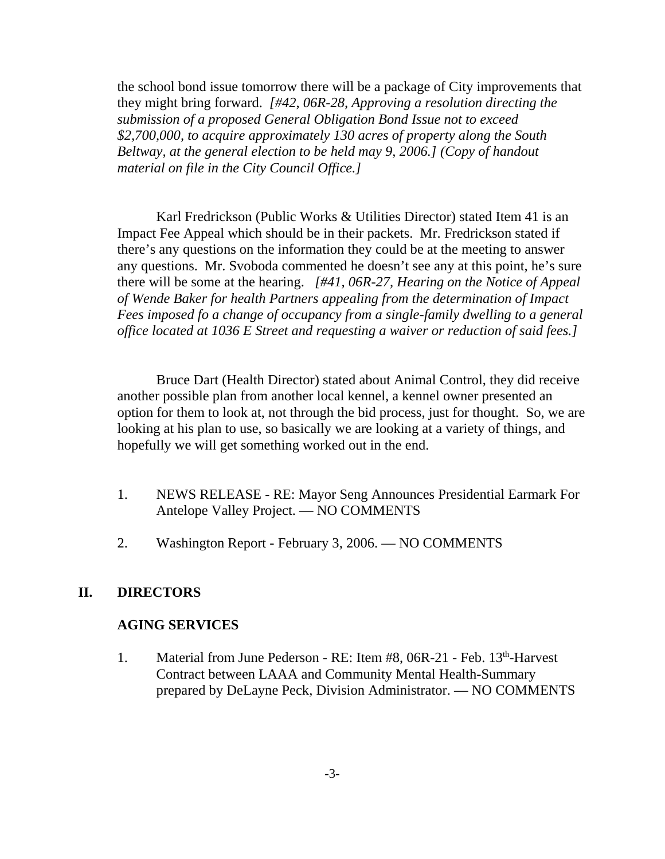the school bond issue tomorrow there will be a package of City improvements that they might bring forward. *[#42, 06R-28, Approving a resolution directing the submission of a proposed General Obligation Bond Issue not to exceed \$2,700,000, to acquire approximately 130 acres of property along the South Beltway, at the general election to be held may 9, 2006.] (Copy of handout material on file in the City Council Office.]* 

Karl Fredrickson (Public Works & Utilities Director) stated Item 41 is an Impact Fee Appeal which should be in their packets. Mr. Fredrickson stated if there's any questions on the information they could be at the meeting to answer any questions. Mr. Svoboda commented he doesn't see any at this point, he's sure there will be some at the hearing. *[#41, 06R-27, Hearing on the Notice of Appeal of Wende Baker for health Partners appealing from the determination of Impact Fees imposed fo a change of occupancy from a single-family dwelling to a general office located at 1036 E Street and requesting a waiver or reduction of said fees.]* 

Bruce Dart (Health Director) stated about Animal Control, they did receive another possible plan from another local kennel, a kennel owner presented an option for them to look at, not through the bid process, just for thought. So, we are looking at his plan to use, so basically we are looking at a variety of things, and hopefully we will get something worked out in the end.

- 1. NEWS RELEASE RE: Mayor Seng Announces Presidential Earmark For Antelope Valley Project. — NO COMMENTS
- 2. Washington Report February 3, 2006. NO COMMENTS

### **II. DIRECTORS**

#### **AGING SERVICES**

1. Material from June Pederson - RE: Item #8, 06R-21 - Feb. 13<sup>th</sup>-Harvest Contract between LAAA and Community Mental Health-Summary prepared by DeLayne Peck, Division Administrator. — NO COMMENTS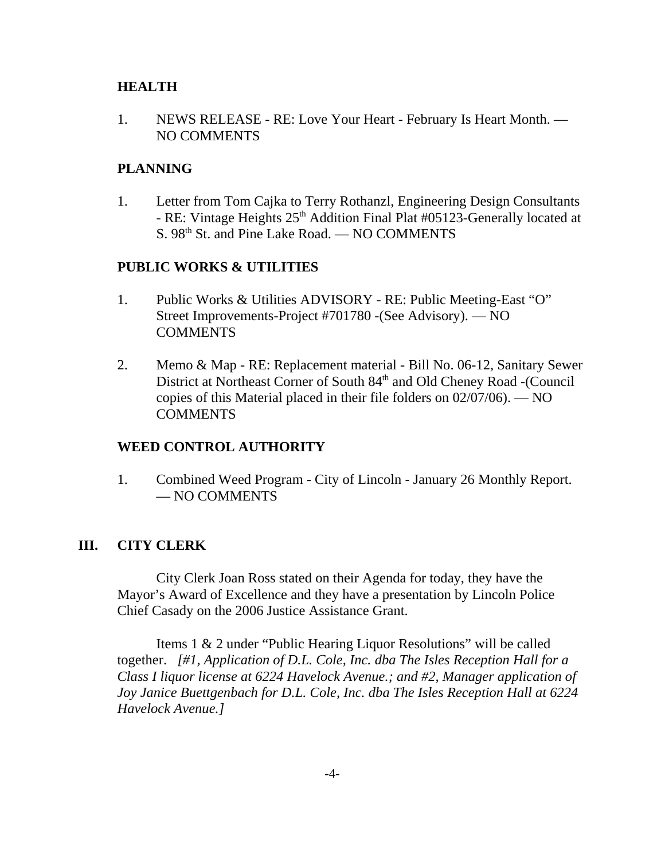#### **HEALTH**

1. NEWS RELEASE - RE: Love Your Heart - February Is Heart Month. — NO COMMENTS

#### **PLANNING**

1. Letter from Tom Cajka to Terry Rothanzl, Engineering Design Consultants - RE: Vintage Heights 25<sup>th</sup> Addition Final Plat #05123-Generally located at S. 98<sup>th</sup> St. and Pine Lake Road. — NO COMMENTS

### **PUBLIC WORKS & UTILITIES**

- 1. Public Works & Utilities ADVISORY RE: Public Meeting-East "O" Street Improvements-Project #701780 -(See Advisory). — NO **COMMENTS**
- 2. Memo & Map RE: Replacement material Bill No. 06-12, Sanitary Sewer District at Northeast Corner of South 84<sup>th</sup> and Old Cheney Road -(Council copies of this Material placed in their file folders on 02/07/06). — NO COMMENTS

### **WEED CONTROL AUTHORITY**

1. Combined Weed Program - City of Lincoln - January 26 Monthly Report. — NO COMMENTS

### **III. CITY CLERK**

City Clerk Joan Ross stated on their Agenda for today, they have the Mayor's Award of Excellence and they have a presentation by Lincoln Police Chief Casady on the 2006 Justice Assistance Grant.

Items 1 & 2 under "Public Hearing Liquor Resolutions" will be called together. *[#1, Application of D.L. Cole, Inc. dba The Isles Reception Hall for a Class I liquor license at 6224 Havelock Avenue.; and #2, Manager application of Joy Janice Buettgenbach for D.L. Cole, Inc. dba The Isles Reception Hall at 6224 Havelock Avenue.]*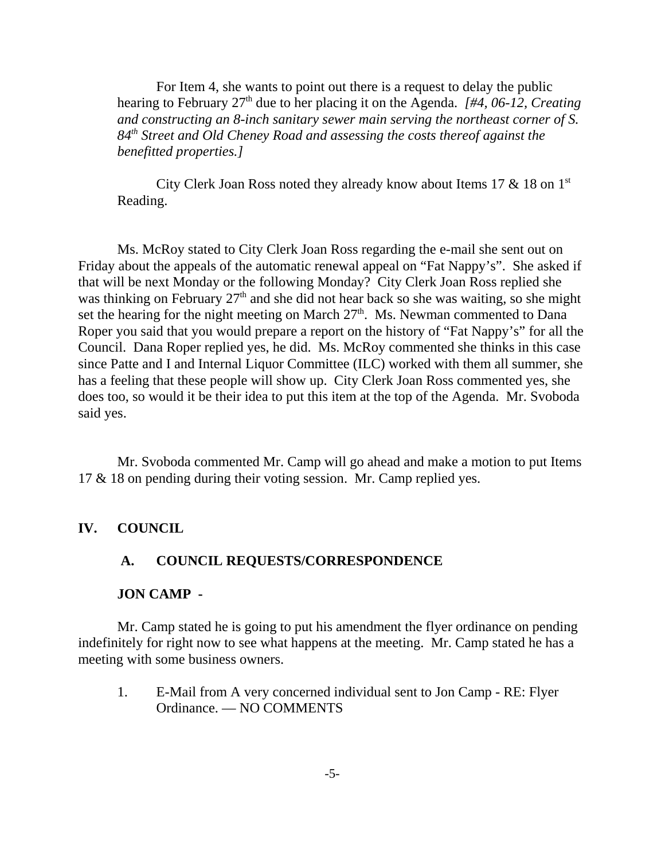For Item 4, she wants to point out there is a request to delay the public hearing to February 27<sup>th</sup> due to her placing it on the Agenda. *[#4, 06-12, Creating and constructing an 8-inch sanitary sewer main serving the northeast corner of S. 84th Street and Old Cheney Road and assessing the costs thereof against the benefitted properties.]* 

City Clerk Joan Ross noted they already know about Items 17  $\&$  18 on 1<sup>st</sup> Reading.

Ms. McRoy stated to City Clerk Joan Ross regarding the e-mail she sent out on Friday about the appeals of the automatic renewal appeal on "Fat Nappy's". She asked if that will be next Monday or the following Monday? City Clerk Joan Ross replied she was thinking on February  $27<sup>th</sup>$  and she did not hear back so she was waiting, so she might set the hearing for the night meeting on March  $27<sup>th</sup>$ . Ms. Newman commented to Dana Roper you said that you would prepare a report on the history of "Fat Nappy's" for all the Council. Dana Roper replied yes, he did. Ms. McRoy commented she thinks in this case since Patte and I and Internal Liquor Committee (ILC) worked with them all summer, she has a feeling that these people will show up. City Clerk Joan Ross commented yes, she does too, so would it be their idea to put this item at the top of the Agenda. Mr. Svoboda said yes.

Mr. Svoboda commented Mr. Camp will go ahead and make a motion to put Items 17 & 18 on pending during their voting session. Mr. Camp replied yes.

### **IV. COUNCIL**

#### **A. COUNCIL REQUESTS/CORRESPONDENCE**

#### **JON CAMP -**

Mr. Camp stated he is going to put his amendment the flyer ordinance on pending indefinitely for right now to see what happens at the meeting. Mr. Camp stated he has a meeting with some business owners.

1. E-Mail from A very concerned individual sent to Jon Camp - RE: Flyer Ordinance. — NO COMMENTS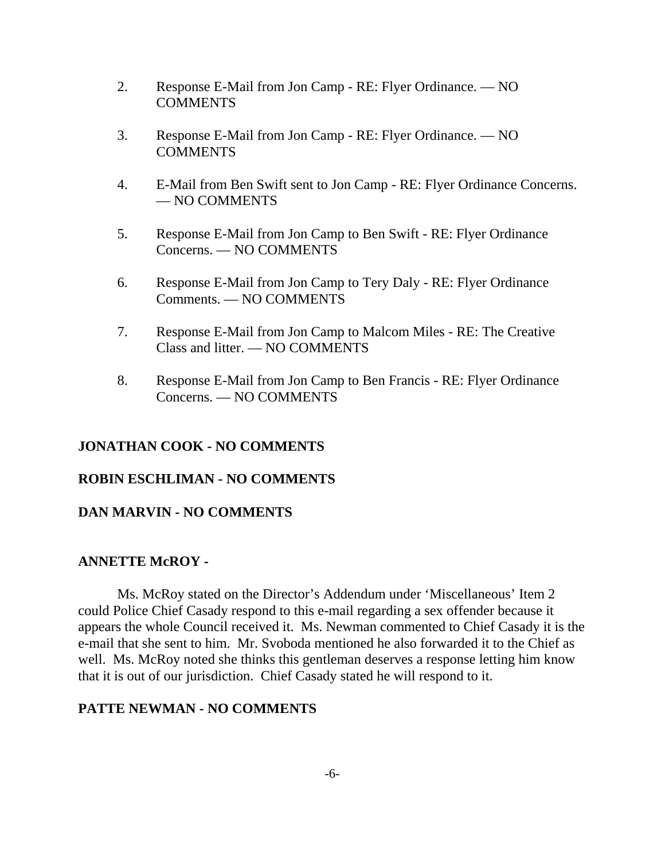- 2. Response E-Mail from Jon Camp RE: Flyer Ordinance. NO **COMMENTS**
- 3. Response E-Mail from Jon Camp RE: Flyer Ordinance. NO COMMENTS
- 4. E-Mail from Ben Swift sent to Jon Camp RE: Flyer Ordinance Concerns. — NO COMMENTS
- 5. Response E-Mail from Jon Camp to Ben Swift RE: Flyer Ordinance Concerns. — NO COMMENTS
- 6. Response E-Mail from Jon Camp to Tery Daly RE: Flyer Ordinance Comments. — NO COMMENTS
- 7. Response E-Mail from Jon Camp to Malcom Miles RE: The Creative Class and litter. — NO COMMENTS
- 8. Response E-Mail from Jon Camp to Ben Francis RE: Flyer Ordinance Concerns. — NO COMMENTS

### **JONATHAN COOK - NO COMMENTS**

### **ROBIN ESCHLIMAN - NO COMMENTS**

### **DAN MARVIN - NO COMMENTS**

### **ANNETTE McROY -**

Ms. McRoy stated on the Director's Addendum under 'Miscellaneous' Item 2 could Police Chief Casady respond to this e-mail regarding a sex offender because it appears the whole Council received it. Ms. Newman commented to Chief Casady it is the e-mail that she sent to him. Mr. Svoboda mentioned he also forwarded it to the Chief as well. Ms. McRoy noted she thinks this gentleman deserves a response letting him know that it is out of our jurisdiction. Chief Casady stated he will respond to it.

### **PATTE NEWMAN - NO COMMENTS**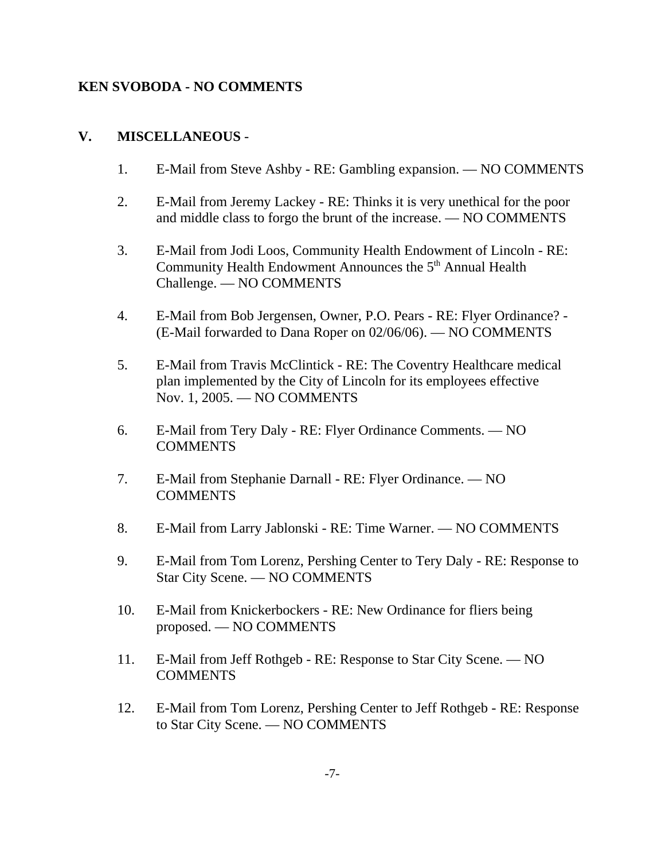### **KEN SVOBODA - NO COMMENTS**

### **V. MISCELLANEOUS** -

- 1. E-Mail from Steve Ashby RE: Gambling expansion. NO COMMENTS
- 2. E-Mail from Jeremy Lackey RE: Thinks it is very unethical for the poor and middle class to forgo the brunt of the increase. — NO COMMENTS
- 3. E-Mail from Jodi Loos, Community Health Endowment of Lincoln RE: Community Health Endowment Announces the 5<sup>th</sup> Annual Health Challenge. — NO COMMENTS
- 4. E-Mail from Bob Jergensen, Owner, P.O. Pears RE: Flyer Ordinance? (E-Mail forwarded to Dana Roper on 02/06/06). — NO COMMENTS
- 5. E-Mail from Travis McClintick RE: The Coventry Healthcare medical plan implemented by the City of Lincoln for its employees effective Nov. 1, 2005. — NO COMMENTS
- 6. E-Mail from Tery Daly RE: Flyer Ordinance Comments. NO COMMENTS
- 7. E-Mail from Stephanie Darnall RE: Flyer Ordinance. NO **COMMENTS**
- 8. E-Mail from Larry Jablonski RE: Time Warner. NO COMMENTS
- 9. E-Mail from Tom Lorenz, Pershing Center to Tery Daly RE: Response to Star City Scene. — NO COMMENTS
- 10. E-Mail from Knickerbockers RE: New Ordinance for fliers being proposed. — NO COMMENTS
- 11. E-Mail from Jeff Rothgeb RE: Response to Star City Scene. NO **COMMENTS**
- 12. E-Mail from Tom Lorenz, Pershing Center to Jeff Rothgeb RE: Response to Star City Scene. — NO COMMENTS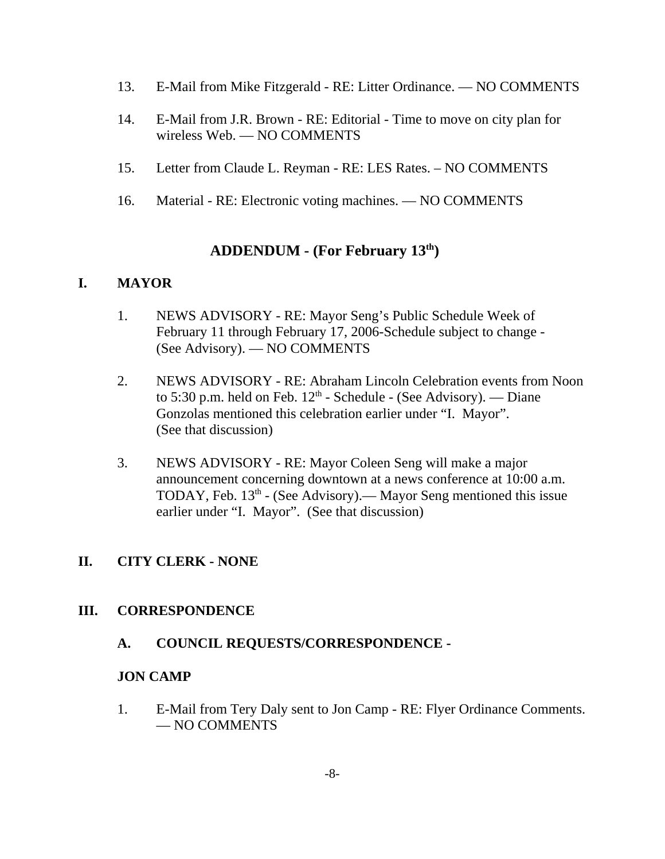- 13. E-Mail from Mike Fitzgerald RE: Litter Ordinance. NO COMMENTS
- 14. E-Mail from J.R. Brown RE: Editorial Time to move on city plan for wireless Web. — NO COMMENTS
- 15. Letter from Claude L. Reyman RE: LES Rates. NO COMMENTS
- 16. Material RE: Electronic voting machines. NO COMMENTS

# **ADDENDUM - (For February 13th)**

### **I. MAYOR**

- 1. NEWS ADVISORY RE: Mayor Seng's Public Schedule Week of February 11 through February 17, 2006-Schedule subject to change - (See Advisory). — NO COMMENTS
- 2. NEWS ADVISORY RE: Abraham Lincoln Celebration events from Noon to 5:30 p.m. held on Feb.  $12<sup>th</sup>$  - Schedule - (See Advisory). — Diane Gonzolas mentioned this celebration earlier under "I. Mayor". (See that discussion)
- 3. NEWS ADVISORY RE: Mayor Coleen Seng will make a major announcement concerning downtown at a news conference at 10:00 a.m. TODAY, Feb.  $13<sup>th</sup>$  - (See Advisory).— Mayor Seng mentioned this issue earlier under "I. Mayor". (See that discussion)

# **II. CITY CLERK - NONE**

### **III. CORRESPONDENCE**

### **A. COUNCIL REQUESTS/CORRESPONDENCE -**

### **JON CAMP**

1. E-Mail from Tery Daly sent to Jon Camp - RE: Flyer Ordinance Comments. — NO COMMENTS